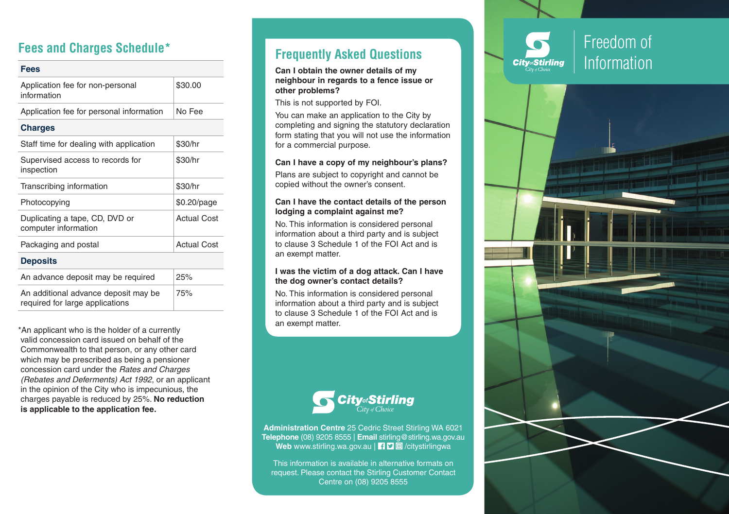## **Fees and Charges Schedule\***

| Fees                                                                    |                    |
|-------------------------------------------------------------------------|--------------------|
| Application fee for non-personal<br>information                         | \$30.00            |
| Application fee for personal information                                | No Fee             |
| <b>Charges</b>                                                          |                    |
| Staff time for dealing with application                                 | \$30/hr            |
| Supervised access to records for<br>inspection                          | \$30/hr            |
| Transcribing information                                                | \$30/hr            |
| Photocopying                                                            | \$0.20/page        |
| Duplicating a tape, CD, DVD or<br>computer information                  | <b>Actual Cost</b> |
| Packaging and postal                                                    | Actual Cost        |
| <b>Deposits</b>                                                         |                    |
| An advance deposit may be required                                      | 25%                |
| An additional advance deposit may be<br>required for large applications | 75%                |
|                                                                         |                    |

\*An applicant who is the holder of a currently valid concession card issued on behalf of the Commonwealth to that person, or any other card which may be prescribed as being a pensioner concession card under the *Rates and Charges (Rebates and Deferments) Act 1992*, or an applicant in the opinion of the City who is impecunious, the charges payable is reduced by 25%. **No reduction is applicable to the application fee.**

## **Frequently Asked Questions**

**Can I obtain the owner details of my neighbour in regards to a fence issue or other problems?**

This is not supported by FOI.

You can make an application to the City by completing and signing the statutory declaration form stating that you will not use the information for a commercial purpose.

#### **Can I have a copy of my neighbour's plans?**

Plans are subject to copyright and cannot be copied without the owner's consent.

#### **Can I have the contact details of the person lodging a complaint against me?**

No. This information is considered personal information about a third party and is subject to clause 3 Schedule 1 of the FOI Act and is an exempt matter.

#### **I was the victim of a dog attack. Can I have the dog owner's contact details?**

No. This information is considered personal information about a third party and is subject to clause 3 Schedule 1 of the FOI Act and is an exempt matter.



**Administration Centre** 25 Cedric Street Stirling WA 6021 **Telephone** (08) 9205 8555 | **Email** stirling@stirling.wa.gov.au Web www.stirling.wa.gov.au | f | **9 @** /citystirlingwa

This information is available in alternative fo rmats on request. Please contact the Stirling Customer Contact Centre on (08) 9205 8555



Freedom of Information